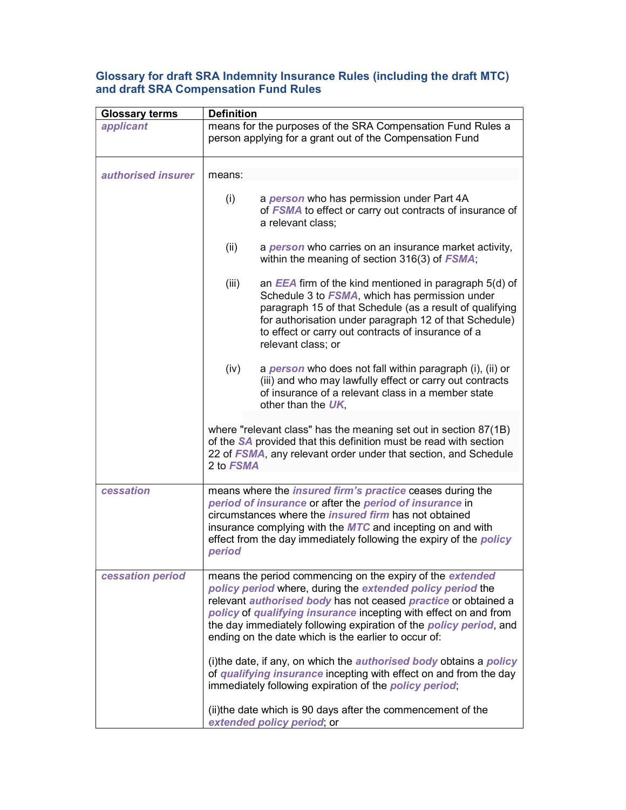## Glossary for draft SRA Indemnity Insurance Rules (including the draft MTC) and draft SRA Compensation Fund Rules

| <b>Glossary terms</b> | <b>Definition</b>                                                                                                                                                                                                                                                                                                                                                                                                                                                                       |
|-----------------------|-----------------------------------------------------------------------------------------------------------------------------------------------------------------------------------------------------------------------------------------------------------------------------------------------------------------------------------------------------------------------------------------------------------------------------------------------------------------------------------------|
| applicant             | means for the purposes of the SRA Compensation Fund Rules a<br>person applying for a grant out of the Compensation Fund                                                                                                                                                                                                                                                                                                                                                                 |
| authorised insurer    | means:                                                                                                                                                                                                                                                                                                                                                                                                                                                                                  |
|                       | (i)<br>a <i>person</i> who has permission under Part 4A<br>of FSMA to effect or carry out contracts of insurance of<br>a relevant class;                                                                                                                                                                                                                                                                                                                                                |
|                       | (ii)<br>a <i>person</i> who carries on an insurance market activity,<br>within the meaning of section 316(3) of <i>FSMA</i> ;                                                                                                                                                                                                                                                                                                                                                           |
|                       | (iii)<br>an $EEA$ firm of the kind mentioned in paragraph $5(d)$ of<br>Schedule 3 to FSMA, which has permission under<br>paragraph 15 of that Schedule (as a result of qualifying<br>for authorisation under paragraph 12 of that Schedule)<br>to effect or carry out contracts of insurance of a<br>relevant class; or                                                                                                                                                                 |
|                       | (iv)<br>a <b>person</b> who does not fall within paragraph (i), (ii) or<br>(iii) and who may lawfully effect or carry out contracts<br>of insurance of a relevant class in a member state<br>other than the UK.                                                                                                                                                                                                                                                                         |
|                       | where "relevant class" has the meaning set out in section 87(1B)<br>of the SA provided that this definition must be read with section<br>22 of FSMA, any relevant order under that section, and Schedule<br>2 to FSMA                                                                                                                                                                                                                                                                   |
| cessation             | means where the <i>insured firm's practice</i> ceases during the<br>period of insurance or after the period of insurance in<br>circumstances where the <i>insured firm</i> has not obtained<br>insurance complying with the MTC and incepting on and with<br>effect from the day immediately following the expiry of the <i>policy</i><br>period                                                                                                                                        |
| cessation period      | means the period commencing on the expiry of the extended<br>policy period where, during the extended policy period the<br>relevant authorised body has not ceased practice or obtained a<br>policy of qualifying insurance incepting with effect on and from<br>the day immediately following expiration of the <i>policy period</i> , and<br>ending on the date which is the earlier to occur of:<br>(i)the date, if any, on which the <i>authorised body</i> obtains a <i>policy</i> |
|                       | of qualifying insurance incepting with effect on and from the day<br>immediately following expiration of the <i>policy period</i> ;                                                                                                                                                                                                                                                                                                                                                     |
|                       | (ii) the date which is 90 days after the commencement of the<br>extended policy period, or                                                                                                                                                                                                                                                                                                                                                                                              |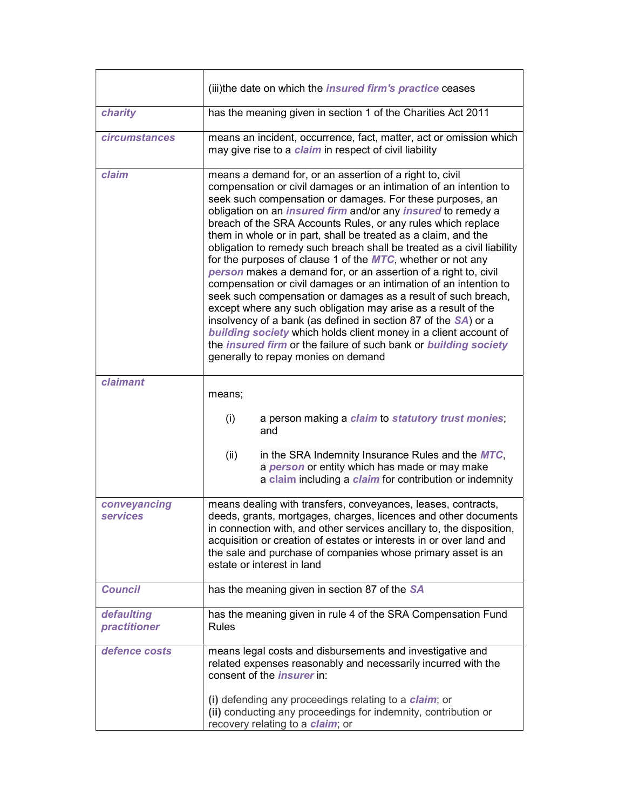|                                 | (iii)the date on which the <i>insured firm's practice</i> ceases                                                                                                                                                                                                                                                                                                                                                                                                                                                                                                                                                                                                                                                                                                                                                                                                                                                                                                                                                                                                                         |
|---------------------------------|------------------------------------------------------------------------------------------------------------------------------------------------------------------------------------------------------------------------------------------------------------------------------------------------------------------------------------------------------------------------------------------------------------------------------------------------------------------------------------------------------------------------------------------------------------------------------------------------------------------------------------------------------------------------------------------------------------------------------------------------------------------------------------------------------------------------------------------------------------------------------------------------------------------------------------------------------------------------------------------------------------------------------------------------------------------------------------------|
| charity                         | has the meaning given in section 1 of the Charities Act 2011                                                                                                                                                                                                                                                                                                                                                                                                                                                                                                                                                                                                                                                                                                                                                                                                                                                                                                                                                                                                                             |
| <b>circumstances</b>            | means an incident, occurrence, fact, matter, act or omission which<br>may give rise to a <i>claim</i> in respect of civil liability                                                                                                                                                                                                                                                                                                                                                                                                                                                                                                                                                                                                                                                                                                                                                                                                                                                                                                                                                      |
| claim                           | means a demand for, or an assertion of a right to, civil<br>compensation or civil damages or an intimation of an intention to<br>seek such compensation or damages. For these purposes, an<br>obligation on an <i>insured firm</i> and/or any <i>insured</i> to remedy a<br>breach of the SRA Accounts Rules, or any rules which replace<br>them in whole or in part, shall be treated as a claim, and the<br>obligation to remedy such breach shall be treated as a civil liability<br>for the purposes of clause 1 of the $MTC$ , whether or not any<br>person makes a demand for, or an assertion of a right to, civil<br>compensation or civil damages or an intimation of an intention to<br>seek such compensation or damages as a result of such breach,<br>except where any such obligation may arise as a result of the<br>insolvency of a bank (as defined in section 87 of the SA) or a<br>building society which holds client money in a client account of<br>the <i>insured firm</i> or the failure of such bank or building society<br>generally to repay monies on demand |
| claimant                        | means;                                                                                                                                                                                                                                                                                                                                                                                                                                                                                                                                                                                                                                                                                                                                                                                                                                                                                                                                                                                                                                                                                   |
|                                 | (i)<br>a person making a claim to statutory trust monies;<br>and                                                                                                                                                                                                                                                                                                                                                                                                                                                                                                                                                                                                                                                                                                                                                                                                                                                                                                                                                                                                                         |
|                                 | (ii)<br>in the SRA Indemnity Insurance Rules and the MTC,<br>a person or entity which has made or may make<br>a claim including a claim for contribution or indemnity                                                                                                                                                                                                                                                                                                                                                                                                                                                                                                                                                                                                                                                                                                                                                                                                                                                                                                                    |
| conveyancing<br><b>services</b> | means dealing with transfers, conveyances, leases, contracts,<br>deeds, grants, mortgages, charges, licences and other documents<br>in connection with, and other services ancillary to, the disposition,<br>acquisition or creation of estates or interests in or over land and<br>the sale and purchase of companies whose primary asset is an<br>estate or interest in land                                                                                                                                                                                                                                                                                                                                                                                                                                                                                                                                                                                                                                                                                                           |
| <b>Council</b>                  | has the meaning given in section 87 of the SA                                                                                                                                                                                                                                                                                                                                                                                                                                                                                                                                                                                                                                                                                                                                                                                                                                                                                                                                                                                                                                            |
| defaulting<br>practitioner      | has the meaning given in rule 4 of the SRA Compensation Fund<br><b>Rules</b>                                                                                                                                                                                                                                                                                                                                                                                                                                                                                                                                                                                                                                                                                                                                                                                                                                                                                                                                                                                                             |
| defence costs                   | means legal costs and disbursements and investigative and<br>related expenses reasonably and necessarily incurred with the<br>consent of the <i>insurer</i> in:                                                                                                                                                                                                                                                                                                                                                                                                                                                                                                                                                                                                                                                                                                                                                                                                                                                                                                                          |
|                                 | (i) defending any proceedings relating to a <i>claim</i> ; or<br>(ii) conducting any proceedings for indemnity, contribution or<br>recovery relating to a claim; or                                                                                                                                                                                                                                                                                                                                                                                                                                                                                                                                                                                                                                                                                                                                                                                                                                                                                                                      |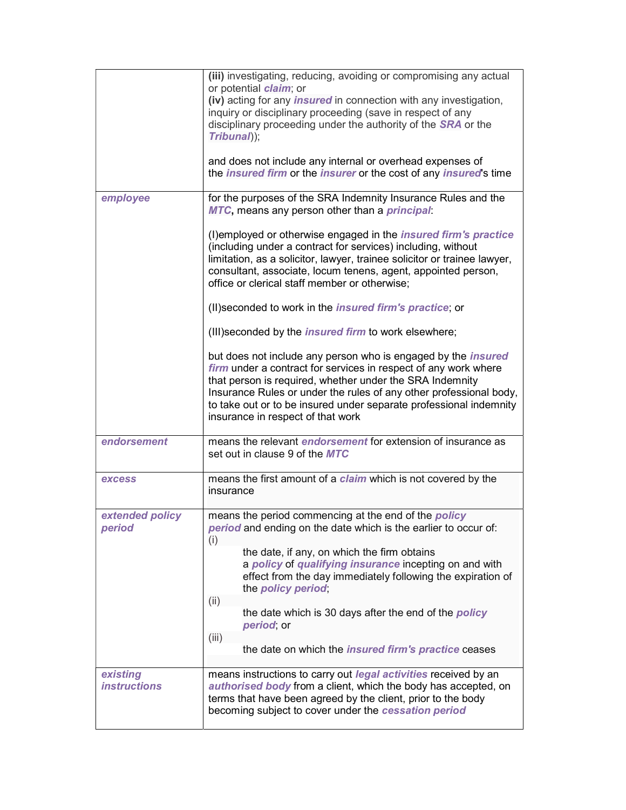|                                 | (iii) investigating, reducing, avoiding or compromising any actual<br>or potential <i>claim</i> ; or<br>(iv) acting for any <i>insured</i> in connection with any investigation,<br>inquiry or disciplinary proceeding (save in respect of any<br>disciplinary proceeding under the authority of the <b>SRA</b> or the<br>Tribunal));<br>and does not include any internal or overhead expenses of<br>the <i>insured firm</i> or the <i>insurer</i> or the cost of any <i>insured</i> 's time                                       |
|---------------------------------|-------------------------------------------------------------------------------------------------------------------------------------------------------------------------------------------------------------------------------------------------------------------------------------------------------------------------------------------------------------------------------------------------------------------------------------------------------------------------------------------------------------------------------------|
| employee                        | for the purposes of the SRA Indemnity Insurance Rules and the<br>MTC, means any person other than a <i>principal</i> :<br>(I) employed or otherwise engaged in the <i>insured firm's practice</i><br>(including under a contract for services) including, without<br>limitation, as a solicitor, lawyer, trainee solicitor or trainee lawyer,<br>consultant, associate, locum tenens, agent, appointed person,<br>office or clerical staff member or otherwise;<br>(II) seconded to work in the <i>insured firm's practice</i> ; or |
|                                 | (III) seconded by the <i>insured firm</i> to work elsewhere;<br>but does not include any person who is engaged by the <i>insured</i><br>firm under a contract for services in respect of any work where<br>that person is required, whether under the SRA Indemnity<br>Insurance Rules or under the rules of any other professional body,<br>to take out or to be insured under separate professional indemnity<br>insurance in respect of that work                                                                                |
| endorsement                     | means the relevant <i>endorsement</i> for extension of insurance as<br>set out in clause 9 of the MTC                                                                                                                                                                                                                                                                                                                                                                                                                               |
| <b>excess</b>                   | means the first amount of a <i>claim</i> which is not covered by the<br>insurance                                                                                                                                                                                                                                                                                                                                                                                                                                                   |
| extended policy<br>period       | means the period commencing at the end of the <i>policy</i><br>period and ending on the date which is the earlier to occur of:<br>(i)<br>the date, if any, on which the firm obtains<br>a policy of qualifying insurance incepting on and with<br>effect from the day immediately following the expiration of<br>the policy period,<br>(ii)<br>the date which is 30 days after the end of the <i>policy</i><br>period; or<br>(iii)<br>the date on which the <i>insured firm's practice</i> ceases                                   |
| existing<br><i>instructions</i> | means instructions to carry out legal activities received by an<br>authorised body from a client, which the body has accepted, on<br>terms that have been agreed by the client, prior to the body<br>becoming subject to cover under the cessation period                                                                                                                                                                                                                                                                           |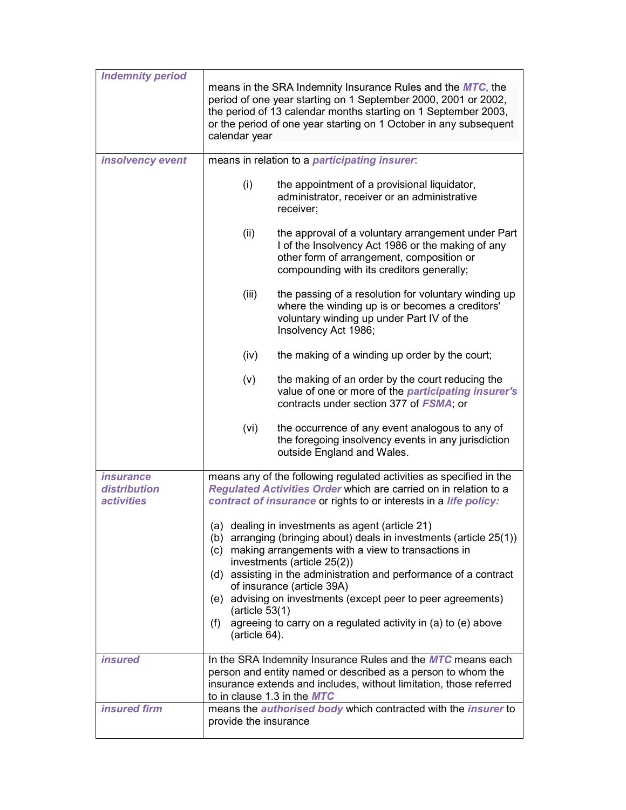| <b>Indemnity period</b>                                      |                                                                                                                                                                                                                                                                                                                     |
|--------------------------------------------------------------|---------------------------------------------------------------------------------------------------------------------------------------------------------------------------------------------------------------------------------------------------------------------------------------------------------------------|
|                                                              | means in the SRA Indemnity Insurance Rules and the MTC, the<br>period of one year starting on 1 September 2000, 2001 or 2002,<br>the period of 13 calendar months starting on 1 September 2003,<br>or the period of one year starting on 1 October in any subsequent<br>calendar year                               |
| insolvency event                                             | means in relation to a participating insurer.                                                                                                                                                                                                                                                                       |
|                                                              | (i)<br>the appointment of a provisional liquidator,<br>administrator, receiver or an administrative<br>receiver;                                                                                                                                                                                                    |
|                                                              | (ii)<br>the approval of a voluntary arrangement under Part<br>I of the Insolvency Act 1986 or the making of any<br>other form of arrangement, composition or<br>compounding with its creditors generally;                                                                                                           |
|                                                              | (iii)<br>the passing of a resolution for voluntary winding up<br>where the winding up is or becomes a creditors'<br>voluntary winding up under Part IV of the<br>Insolvency Act 1986;                                                                                                                               |
|                                                              | (iv)<br>the making of a winding up order by the court;                                                                                                                                                                                                                                                              |
|                                                              | (v)<br>the making of an order by the court reducing the<br>value of one or more of the participating insurer's<br>contracts under section 377 of FSMA; or                                                                                                                                                           |
|                                                              | (vi)<br>the occurrence of any event analogous to any of<br>the foregoing insolvency events in any jurisdiction<br>outside England and Wales.                                                                                                                                                                        |
| <i>insurance</i><br>distribution<br><i><b>activities</b></i> | means any of the following regulated activities as specified in the<br>Regulated Activities Order which are carried on in relation to a<br>contract of insurance or rights to or interests in a life policy:                                                                                                        |
|                                                              | (a) dealing in investments as agent (article 21)<br>(b) arranging (bringing about) deals in investments (article 25(1))<br>(c) making arrangements with a view to transactions in<br>investments (article 25(2))<br>(d) assisting in the administration and performance of a contract<br>of insurance (article 39A) |
|                                                              | (e) advising on investments (except peer to peer agreements)<br>(article $53(1)$<br>agreeing to carry on a regulated activity in (a) to (e) above<br>(f)<br>$(\text{article }64).$                                                                                                                                  |
| <i><b>insured</b></i>                                        | In the SRA Indemnity Insurance Rules and the <b>MTC</b> means each<br>person and entity named or described as a person to whom the<br>insurance extends and includes, without limitation, those referred<br>to in clause 1.3 in the MTC                                                                             |
| <b>insured</b> firm                                          | means the <i>authorised body</i> which contracted with the <i>insurer</i> to<br>provide the insurance                                                                                                                                                                                                               |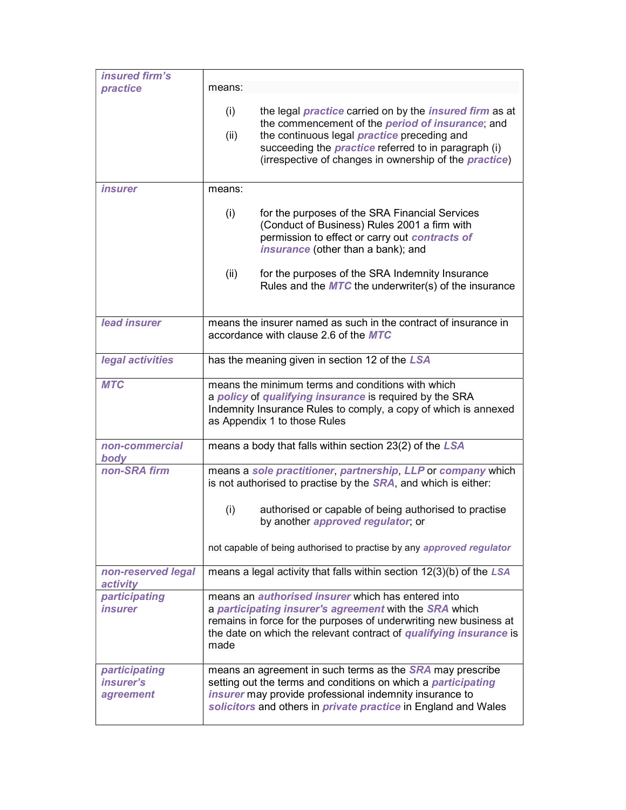| insured firm's                          |                                                                                                                                                                                                                                                                                                                                         |
|-----------------------------------------|-----------------------------------------------------------------------------------------------------------------------------------------------------------------------------------------------------------------------------------------------------------------------------------------------------------------------------------------|
| practice                                | means:                                                                                                                                                                                                                                                                                                                                  |
|                                         | (i)<br>the legal <i>practice</i> carried on by the <i>insured firm</i> as at<br>the commencement of the <i>period of insurance</i> ; and<br>the continuous legal <i>practice</i> preceding and<br>(ii)<br>succeeding the <i>practice</i> referred to in paragraph (i)<br>(irrespective of changes in ownership of the <i>practice</i> ) |
| <i><b>insurer</b></i>                   | means:                                                                                                                                                                                                                                                                                                                                  |
|                                         | (i)<br>for the purposes of the SRA Financial Services<br>(Conduct of Business) Rules 2001 a firm with<br>permission to effect or carry out contracts of<br>insurance (other than a bank); and                                                                                                                                           |
|                                         | (ii)<br>for the purposes of the SRA Indemnity Insurance<br>Rules and the $MTC$ the underwriter(s) of the insurance                                                                                                                                                                                                                      |
| lead insurer                            | means the insurer named as such in the contract of insurance in<br>accordance with clause 2.6 of the MTC                                                                                                                                                                                                                                |
| legal activities                        | has the meaning given in section 12 of the LSA                                                                                                                                                                                                                                                                                          |
| <b>MTC</b>                              | means the minimum terms and conditions with which<br>a policy of qualifying insurance is required by the SRA<br>Indemnity Insurance Rules to comply, a copy of which is annexed<br>as Appendix 1 to those Rules                                                                                                                         |
| non-commercial<br>body                  | means a body that falls within section 23(2) of the LSA                                                                                                                                                                                                                                                                                 |
| non-SRA firm                            | means a sole practitioner, partnership, LLP or company which<br>is not authorised to practise by the <b>SRA</b> , and which is either:                                                                                                                                                                                                  |
|                                         | (i)<br>authorised or capable of being authorised to practise<br>by another approved regulator; or                                                                                                                                                                                                                                       |
|                                         | not capable of being authorised to practise by any approved regulator                                                                                                                                                                                                                                                                   |
| non-reserved legal<br>activity          | means a legal activity that falls within section $12(3)(b)$ of the LSA                                                                                                                                                                                                                                                                  |
| participating<br><i><b>insurer</b></i>  | means an <i>authorised insurer</i> which has entered into<br>a participating insurer's agreement with the SRA which<br>remains in force for the purposes of underwriting new business at<br>the date on which the relevant contract of qualifying insurance is<br>made                                                                  |
| participating<br>insurer's<br>agreement | means an agreement in such terms as the <b>SRA</b> may prescribe<br>setting out the terms and conditions on which a participating<br>insurer may provide professional indemnity insurance to<br>solicitors and others in private practice in England and Wales                                                                          |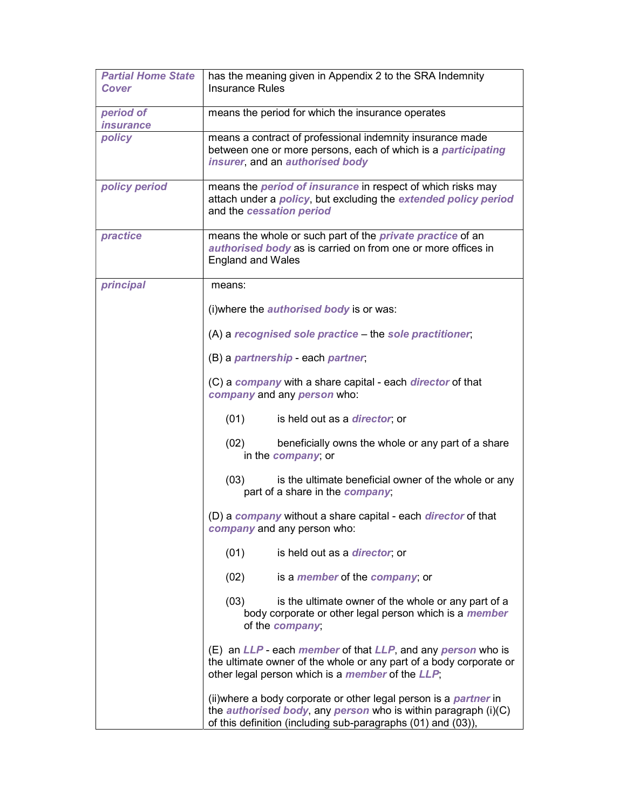| <b>Partial Home State</b><br>Cover   | has the meaning given in Appendix 2 to the SRA Indemnity<br><b>Insurance Rules</b>                                                                                                                                          |
|--------------------------------------|-----------------------------------------------------------------------------------------------------------------------------------------------------------------------------------------------------------------------------|
| period of<br><i><b>insurance</b></i> | means the period for which the insurance operates                                                                                                                                                                           |
| policy                               | means a contract of professional indemnity insurance made<br>between one or more persons, each of which is a <i>participating</i><br>insurer, and an authorised body                                                        |
| policy period                        | means the <i>period of insurance</i> in respect of which risks may<br>attach under a policy, but excluding the extended policy period<br>and the cessation period                                                           |
| practice                             | means the whole or such part of the <i>private practice</i> of an<br>authorised body as is carried on from one or more offices in<br><b>England and Wales</b>                                                               |
| principal                            | means:                                                                                                                                                                                                                      |
|                                      | (i) where the <i>authorised body</i> is or was:                                                                                                                                                                             |
|                                      | (A) a recognised sole practice – the sole practitioner,                                                                                                                                                                     |
|                                      | (B) a partnership - each partner,                                                                                                                                                                                           |
|                                      | (C) a company with a share capital - each director of that<br>company and any person who:                                                                                                                                   |
|                                      | (01)<br>is held out as a <i>director</i> ; or                                                                                                                                                                               |
|                                      | beneficially owns the whole or any part of a share<br>(02)<br>in the <i>company</i> ; or                                                                                                                                    |
|                                      | (03)<br>is the ultimate beneficial owner of the whole or any<br>part of a share in the company;                                                                                                                             |
|                                      | (D) a company without a share capital - each director of that<br>company and any person who:                                                                                                                                |
|                                      | (01)<br>is held out as a <i>director</i> ; or                                                                                                                                                                               |
|                                      | (02)<br>is a <i>member</i> of the <i>company</i> ; or                                                                                                                                                                       |
|                                      | (03)<br>is the ultimate owner of the whole or any part of a<br>body corporate or other legal person which is a <i>member</i><br>of the company;                                                                             |
|                                      | (E) an LLP - each <i>member</i> of that LLP, and any <i>person</i> who is<br>the ultimate owner of the whole or any part of a body corporate or<br>other legal person which is a <i>member</i> of the LLP;                  |
|                                      | (ii) where a body corporate or other legal person is a <i>partner</i> in<br>the <i>authorised body</i> , any <i>person</i> who is within paragraph $(i)(C)$<br>of this definition (including sub-paragraphs (01) and (03)), |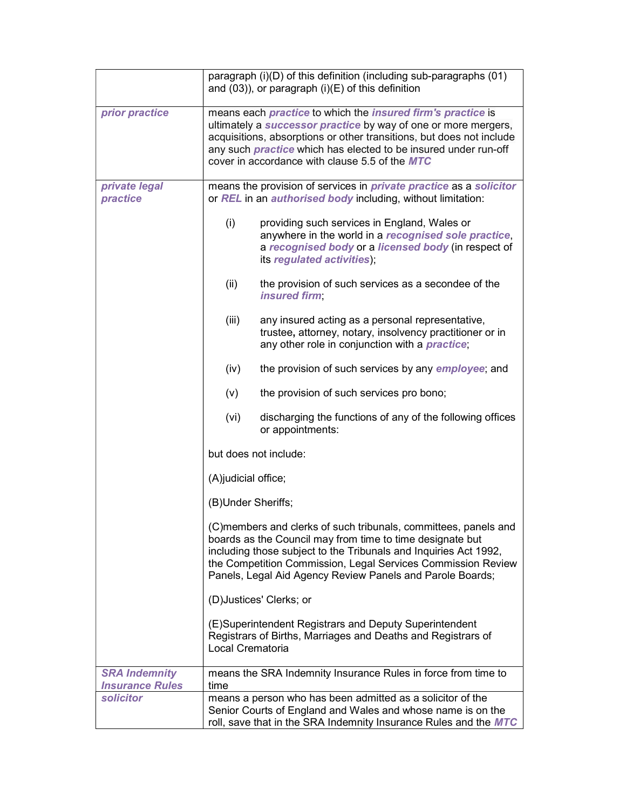|                                                |                      | paragraph (i)(D) of this definition (including sub-paragraphs (01)<br>and $(03)$ ), or paragraph $(i)(E)$ of this definition                                                                                                                                                                                                                           |
|------------------------------------------------|----------------------|--------------------------------------------------------------------------------------------------------------------------------------------------------------------------------------------------------------------------------------------------------------------------------------------------------------------------------------------------------|
| prior practice                                 |                      | means each <i>practice</i> to which the <i>insured firm's practice</i> is<br>ultimately a <i>successor practice</i> by way of one or more mergers,<br>acquisitions, absorptions or other transitions, but does not include<br>any such <i>practice</i> which has elected to be insured under run-off<br>cover in accordance with clause 5.5 of the MTC |
| private legal<br>practice                      |                      | means the provision of services in <i>private practice</i> as a solicitor<br>or REL in an <i>authorised body</i> including, without limitation:                                                                                                                                                                                                        |
|                                                | (i)                  | providing such services in England, Wales or<br>anywhere in the world in a recognised sole practice,<br>a recognised body or a licensed body (in respect of<br>its regulated activities);                                                                                                                                                              |
|                                                | (ii)                 | the provision of such services as a secondee of the<br>insured firm;                                                                                                                                                                                                                                                                                   |
|                                                | (iii)                | any insured acting as a personal representative,<br>trustee, attorney, notary, insolvency practitioner or in<br>any other role in conjunction with a <i>practice</i> ;                                                                                                                                                                                 |
|                                                | (iv)                 | the provision of such services by any <i>employee</i> ; and                                                                                                                                                                                                                                                                                            |
|                                                | (v)                  | the provision of such services pro bono;                                                                                                                                                                                                                                                                                                               |
|                                                | (vi)                 | discharging the functions of any of the following offices<br>or appointments:                                                                                                                                                                                                                                                                          |
|                                                |                      | but does not include:                                                                                                                                                                                                                                                                                                                                  |
|                                                | (A) judicial office; |                                                                                                                                                                                                                                                                                                                                                        |
|                                                | (B)Under Sheriffs;   |                                                                                                                                                                                                                                                                                                                                                        |
|                                                |                      | (C)members and clerks of such tribunals, committees, panels and<br>boards as the Council may from time to time designate but<br>including those subject to the Tribunals and Inquiries Act 1992,<br>the Competition Commission, Legal Services Commission Review<br>Panels, Legal Aid Agency Review Panels and Parole Boards;                          |
|                                                |                      | (D) Justices' Clerks; or                                                                                                                                                                                                                                                                                                                               |
|                                                | Local Crematoria     | (E)Superintendent Registrars and Deputy Superintendent<br>Registrars of Births, Marriages and Deaths and Registrars of                                                                                                                                                                                                                                 |
| <b>SRA Indemnity</b><br><b>Insurance Rules</b> | time                 | means the SRA Indemnity Insurance Rules in force from time to                                                                                                                                                                                                                                                                                          |
| solicitor                                      |                      | means a person who has been admitted as a solicitor of the<br>Senior Courts of England and Wales and whose name is on the<br>roll, save that in the SRA Indemnity Insurance Rules and the MTC                                                                                                                                                          |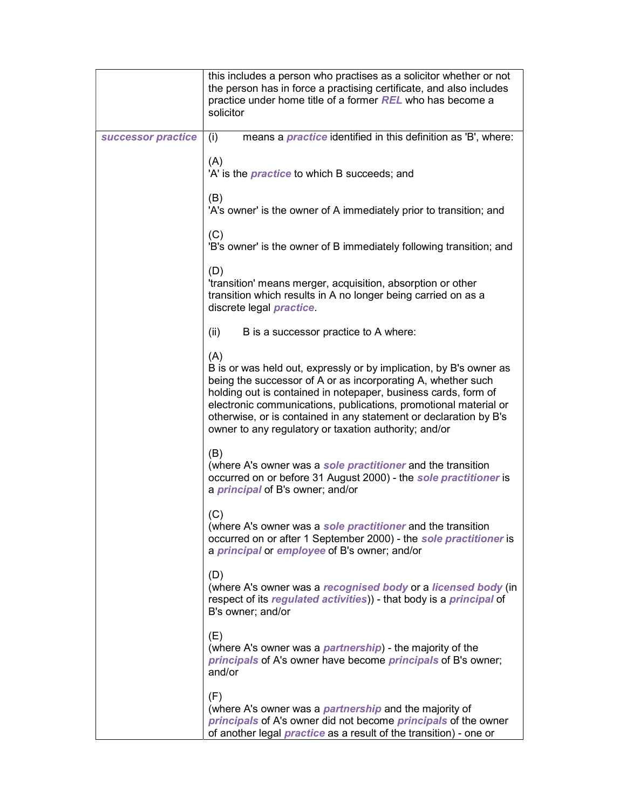|                    | this includes a person who practises as a solicitor whether or not<br>the person has in force a practising certificate, and also includes<br>practice under home title of a former REL who has become a<br>solicitor                                                                                                                                                                                          |
|--------------------|---------------------------------------------------------------------------------------------------------------------------------------------------------------------------------------------------------------------------------------------------------------------------------------------------------------------------------------------------------------------------------------------------------------|
| successor practice | means a <i>practice</i> identified in this definition as 'B', where:<br>(i)                                                                                                                                                                                                                                                                                                                                   |
|                    | (A)<br>'A' is the <i>practice</i> to which B succeeds; and                                                                                                                                                                                                                                                                                                                                                    |
|                    | (B)<br>'A's owner' is the owner of A immediately prior to transition; and                                                                                                                                                                                                                                                                                                                                     |
|                    | (C)<br>'B's owner' is the owner of B immediately following transition; and                                                                                                                                                                                                                                                                                                                                    |
|                    | (D)<br>'transition' means merger, acquisition, absorption or other<br>transition which results in A no longer being carried on as a<br>discrete legal <i>practice</i>                                                                                                                                                                                                                                         |
|                    | (ii)<br>B is a successor practice to A where:                                                                                                                                                                                                                                                                                                                                                                 |
|                    | (A)<br>B is or was held out, expressly or by implication, by B's owner as<br>being the successor of A or as incorporating A, whether such<br>holding out is contained in notepaper, business cards, form of<br>electronic communications, publications, promotional material or<br>otherwise, or is contained in any statement or declaration by B's<br>owner to any regulatory or taxation authority; and/or |
|                    | (B)<br>(where A's owner was a sole practitioner and the transition<br>occurred on or before 31 August 2000) - the sole practitioner is<br>a <i>principal</i> of B's owner; and/or                                                                                                                                                                                                                             |
|                    | (C)<br>(where A's owner was a sole practitioner and the transition<br>occurred on or after 1 September 2000) - the sole practitioner is<br>a <i>principal</i> or <i>employee</i> of B's owner; and/or                                                                                                                                                                                                         |
|                    | (D)<br>(where A's owner was a recognised body or a licensed body (in<br>respect of its regulated activities)) - that body is a principal of<br>B's owner; and/or                                                                                                                                                                                                                                              |
|                    | (E)<br>(where A's owner was a <i>partnership</i> ) - the majority of the<br>principals of A's owner have become principals of B's owner;<br>and/or                                                                                                                                                                                                                                                            |
|                    | (F)<br>(where A's owner was a <i>partnership</i> and the majority of<br>principals of A's owner did not become principals of the owner<br>of another legal <i>practice</i> as a result of the transition) - one or                                                                                                                                                                                            |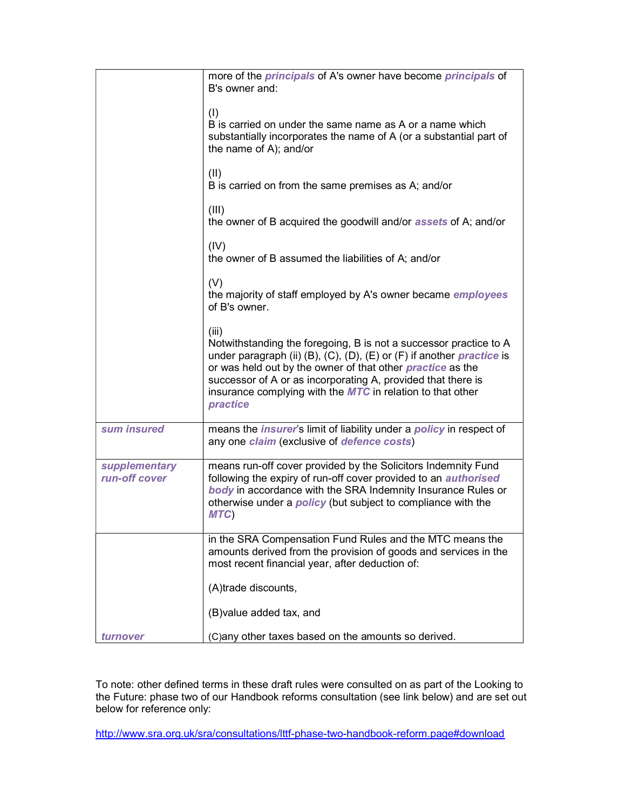|                                | more of the <i>principals</i> of A's owner have become <i>principals</i> of<br>B's owner and:                                                                                                                                                                                                                                                                                    |
|--------------------------------|----------------------------------------------------------------------------------------------------------------------------------------------------------------------------------------------------------------------------------------------------------------------------------------------------------------------------------------------------------------------------------|
|                                | (1)<br>B is carried on under the same name as A or a name which<br>substantially incorporates the name of A (or a substantial part of<br>the name of A); and/or                                                                                                                                                                                                                  |
|                                | (II)<br>B is carried on from the same premises as A; and/or                                                                                                                                                                                                                                                                                                                      |
|                                | (III)<br>the owner of B acquired the goodwill and/or <b>assets</b> of A; and/or                                                                                                                                                                                                                                                                                                  |
|                                | (IV)<br>the owner of B assumed the liabilities of A; and/or                                                                                                                                                                                                                                                                                                                      |
|                                | (V)<br>the majority of staff employed by A's owner became <i>employees</i><br>of B's owner.                                                                                                                                                                                                                                                                                      |
|                                | (iii)<br>Notwithstanding the foregoing, B is not a successor practice to A<br>under paragraph (ii) (B), (C), (D), (E) or (F) if another <i>practice</i> is<br>or was held out by the owner of that other <i>practice</i> as the<br>successor of A or as incorporating A, provided that there is<br>insurance complying with the <b>MTC</b> in relation to that other<br>practice |
| sum insured                    | means the <i>insurer's</i> limit of liability under a <i>policy</i> in respect of<br>any one claim (exclusive of defence costs)                                                                                                                                                                                                                                                  |
| supplementary<br>run-off cover | means run-off cover provided by the Solicitors Indemnity Fund<br>following the expiry of run-off cover provided to an <i>authorised</i><br>body in accordance with the SRA Indemnity Insurance Rules or<br>otherwise under a <i>policy</i> (but subject to compliance with the<br>MTC)                                                                                           |
|                                | in the SRA Compensation Fund Rules and the MTC means the<br>amounts derived from the provision of goods and services in the<br>most recent financial year, after deduction of:                                                                                                                                                                                                   |
|                                | (A)trade discounts,                                                                                                                                                                                                                                                                                                                                                              |
|                                | (B) value added tax, and                                                                                                                                                                                                                                                                                                                                                         |
| turnover                       | (C) any other taxes based on the amounts so derived.                                                                                                                                                                                                                                                                                                                             |

To note: other defined terms in these draft rules were consulted on as part of the Looking to the Future: phase two of our Handbook reforms consultation (see link below) and are set out below for reference only:

http://www.sra.org.uk/sra/consultations/lttf-phase-two-handbook-reform.page#download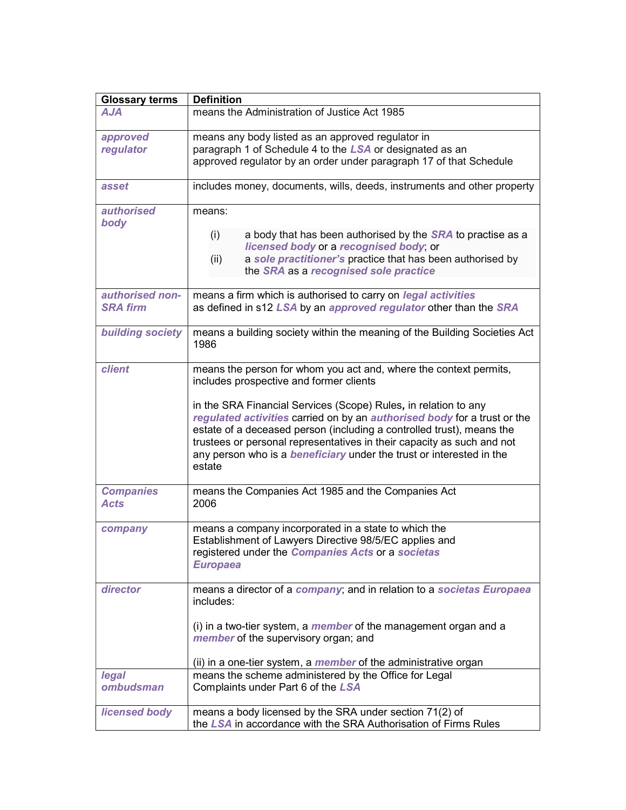| <b>Glossary terms</b>              | <b>Definition</b>                                                                                                                                                                                                                                                                                                                                                                       |
|------------------------------------|-----------------------------------------------------------------------------------------------------------------------------------------------------------------------------------------------------------------------------------------------------------------------------------------------------------------------------------------------------------------------------------------|
| AJA                                | means the Administration of Justice Act 1985                                                                                                                                                                                                                                                                                                                                            |
| approved<br>regulator              | means any body listed as an approved regulator in<br>paragraph 1 of Schedule 4 to the LSA or designated as an<br>approved regulator by an order under paragraph 17 of that Schedule                                                                                                                                                                                                     |
| asset                              | includes money, documents, wills, deeds, instruments and other property                                                                                                                                                                                                                                                                                                                 |
| <i>authorised</i>                  | means:                                                                                                                                                                                                                                                                                                                                                                                  |
| body                               | a body that has been authorised by the <b>SRA</b> to practise as a<br>(i)<br>licensed body or a recognised body; or<br>a sole practitioner's practice that has been authorised by<br>(ii)<br>the SRA as a recognised sole practice                                                                                                                                                      |
| authorised non-<br><b>SRA firm</b> | means a firm which is authorised to carry on <i>legal activities</i><br>as defined in s12 LSA by an approved regulator other than the SRA                                                                                                                                                                                                                                               |
| <b>building society</b>            | means a building society within the meaning of the Building Societies Act<br>1986                                                                                                                                                                                                                                                                                                       |
| client                             | means the person for whom you act and, where the context permits,<br>includes prospective and former clients                                                                                                                                                                                                                                                                            |
|                                    | in the SRA Financial Services (Scope) Rules, in relation to any<br>regulated activities carried on by an authorised body for a trust or the<br>estate of a deceased person (including a controlled trust), means the<br>trustees or personal representatives in their capacity as such and not<br>any person who is a <b>beneficiary</b> under the trust or interested in the<br>estate |
| <b>Companies</b><br><b>Acts</b>    | means the Companies Act 1985 and the Companies Act<br>2006                                                                                                                                                                                                                                                                                                                              |
| company                            | means a company incorporated in a state to which the<br>Establishment of Lawyers Directive 98/5/EC applies and<br>registered under the Companies Acts or a societas<br><b>Europaea</b>                                                                                                                                                                                                  |
| director                           | means a director of a company; and in relation to a societas Europaea<br>includes:                                                                                                                                                                                                                                                                                                      |
|                                    | (i) in a two-tier system, a <i>member</i> of the management organ and a<br>member of the supervisory organ; and<br>(ii) in a one-tier system, a <i>member</i> of the administrative organ                                                                                                                                                                                               |
| legal                              | means the scheme administered by the Office for Legal                                                                                                                                                                                                                                                                                                                                   |
| ombudsman                          | Complaints under Part 6 of the LSA                                                                                                                                                                                                                                                                                                                                                      |
| <b>licensed body</b>               | means a body licensed by the SRA under section 71(2) of<br>the LSA in accordance with the SRA Authorisation of Firms Rules                                                                                                                                                                                                                                                              |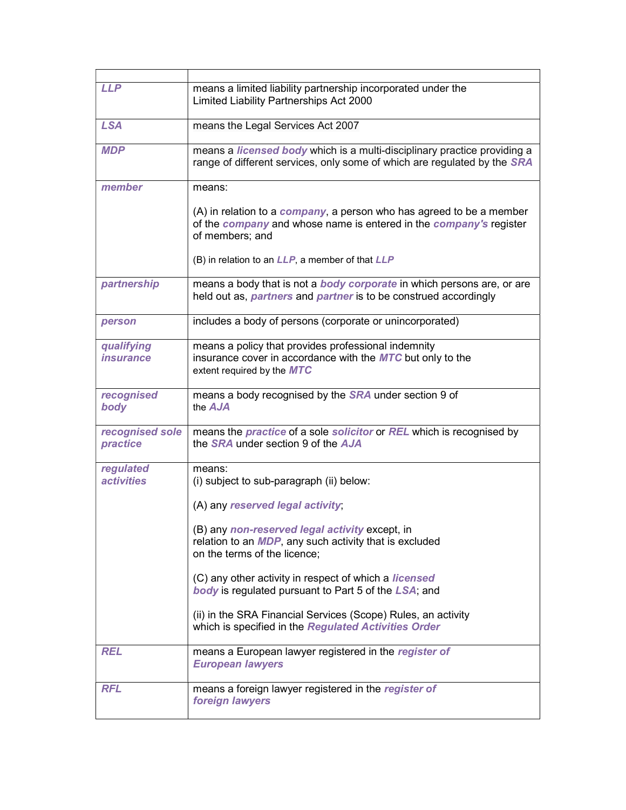| <b>LLP</b>                            | means a limited liability partnership incorporated under the<br>Limited Liability Partnerships Act 2000                                                                 |
|---------------------------------------|-------------------------------------------------------------------------------------------------------------------------------------------------------------------------|
| <b>LSA</b>                            | means the Legal Services Act 2007                                                                                                                                       |
| <b>MDP</b>                            | means a licensed body which is a multi-disciplinary practice providing a<br>range of different services, only some of which are regulated by the SRA                    |
| member                                | means:                                                                                                                                                                  |
|                                       | $(A)$ in relation to a <i>company</i> , a person who has agreed to be a member<br>of the company and whose name is entered in the company's register<br>of members; and |
|                                       | (B) in relation to an LLP, a member of that LLP                                                                                                                         |
| partnership                           | means a body that is not a body corporate in which persons are, or are<br>held out as, <i>partners</i> and <i>partner</i> is to be construed accordingly                |
| person                                | includes a body of persons (corporate or unincorporated)                                                                                                                |
| qualifying<br><i>insurance</i>        | means a policy that provides professional indemnity<br>insurance cover in accordance with the MTC but only to the<br>extent required by the MTC                         |
| recognised<br>body                    | means a body recognised by the <b>SRA</b> under section 9 of<br>the AJA                                                                                                 |
| recognised sole<br>practice           | means the <i>practice</i> of a sole <i>solicitor</i> or <i>REL</i> which is recognised by<br>the SRA under section 9 of the AJA                                         |
| regulated<br><i><b>activities</b></i> | means:<br>(i) subject to sub-paragraph (ii) below:                                                                                                                      |
|                                       | (A) any reserved legal activity;                                                                                                                                        |
|                                       | (B) any non-reserved legal activity except, in<br>relation to an <i>MDP</i> , any such activity that is excluded<br>on the terms of the licence;                        |
|                                       | (C) any other activity in respect of which a <i>licensed</i><br><b>body</b> is regulated pursuant to Part 5 of the LSA; and                                             |
|                                       | (ii) in the SRA Financial Services (Scope) Rules, an activity<br>which is specified in the Regulated Activities Order                                                   |
| <b>REL</b>                            | means a European lawyer registered in the register of<br><b>European lawyers</b>                                                                                        |
| <b>RFL</b>                            | means a foreign lawyer registered in the register of<br>foreign lawyers                                                                                                 |